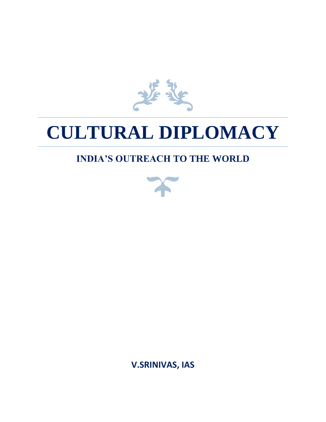

# **CULTURAL DIPLOMACY**

## **INDIA'S OUTREACH TO THE WORLD**



**V.SRINIVAS, IAS**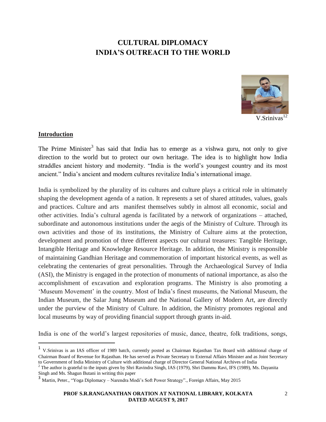## **CULTURAL DIPLOMACY INDIA'S OUTREACH TO THE WORLD**



### $V.Srinivas<sup>12</sup>$

#### **Introduction**

 $\overline{a}$ 

The Prime Minister<sup>3</sup> has said that India has to emerge as a vishwa guru, not only to give direction to the world but to protect our own heritage. The idea is to highlight how India straddles ancient history and modernity. "India is the world's youngest country and its most ancient." India's ancient and modern cultures revitalize India's international image.

India is symbolized by the plurality of its cultures and culture plays a critical role in ultimately shaping the development agenda of a nation. It represents a set of shared attitudes, values, goals and practices. Culture and arts manifest themselves subtly in almost all economic, social and other activities. India's cultural agenda is facilitated by a network of organizations – attached, subordinate and autonomous institutions under the aegis of the Ministry of Culture. Through its own activities and those of its institutions, the Ministry of Culture aims at the protection, development and promotion of three different aspects our cultural treasures: Tangible Heritage, Intangible Heritage and Knowledge Resource Heritage. In addition, the Ministry is responsible of maintaining Gandhian Heritage and commemoration of important historical events, as well as celebrating the centenaries of great personalities. Through the Archaeological Survey of India (ASI), the Ministry is engaged in the protection of monuments of national importance, as also the accomplishment of excavation and exploration programs. The Ministry is also promoting a 'Museum Movement' in the country. Most of India's finest museums, the National Museum, the Indian Museum, the Salar Jung Museum and the National Gallery of Modern Art, are directly under the purview of the Ministry of Culture. In addition, the Ministry promotes regional and local museums by way of providing financial support through grants in-aid.

India is one of the world's largest repositories of music, dance, theatre, folk traditions, songs,

<sup>&</sup>lt;sup>1</sup> V.Srinivas is an IAS officer of 1989 batch, currently posted as Chairman Rajasthan Tax Board with additional charge of Chairman Board of Revenue for Rajasthan. He has served as Private Secretary to External Affairs Minister and as Joint Secretary to Government of India Ministry of Culture with additional charge of Director General National Archives of India

<sup>&</sup>lt;sup>2</sup> The author is grateful to the inputs given by Shri Ravindra Singh, IAS (1979), Shri Dammu Ravi, IFS (1989), Ms. Dayanita Singh and Ms. Shagun Butani in writing this paper

<sup>3&</sup>lt;br>Martin, Peter., "Yoga Diplomacy – Narendra Modi's Soft Power Strategy"., Foreign Affairs, May 2015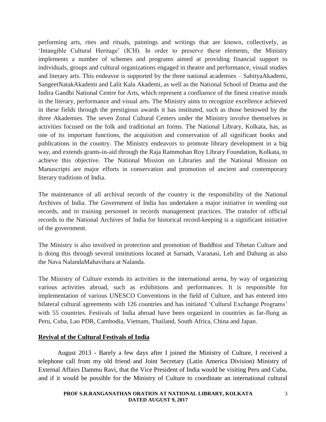performing arts, rites and rituals, paintings and writings that are known, collectively, as 'Intangible Cultural Heritage' (ICH). In order to preserve these elements, the Ministry implements a number of schemes and programs aimed at providing financial support to individuals, groups and cultural organizations engaged in theatre and performance, visual studies and literary arts. This endeavor is supported by the three national academies – SahityaAkademi, SangeetNatakAkademi and Lalit Kala Akademi, as well as the National School of Drama and the Indira Gandhi National Centre for Arts, which represent a confluence of the finest creative minds in the literary, performance and visual arts. The Ministry aims to recognize excellence achieved in these fields through the prestigious awards it has instituted, such as those bestowed by the three Akademies. The seven Zonal Cultural Centers under the Ministry involve themselves in activities focused on the folk and traditional art forms. The National Library, Kolkata, has, as one of its important functions, the acquisition and conservation of all significant books and publications in the country. The Ministry endeavors to promote library development in a big way, and extends grants-in-aid through the Raja Rammohan Roy Library Foundation, Kolkata, to achieve this objective. The National Mission on Libraries and the National Mission on Manuscripts are major efforts in conservation and promotion of ancient and contemporary literary traditions of India.

The maintenance of all archival records of the country is the responsibility of the National Archives of India. The Government of India has undertaken a major initiative in weeding out records, and in training personnel in records management practices. The transfer of official records to the National Archives of India for historical record-keeping is a significant initiative of the government.

The Ministry is also involved in protection and promotion of Buddhist and Tibetan Culture and is doing this through several institutions located at Sarnath, Varanasi, Leh and Dahung as also the Nava NalandaMahavihara at Nalanda.

The Ministry of Culture extends its activities in the international arena, by way of organizing various activities abroad, such as exhibitions and performances. It is responsible for implementation of various UNESCO Conventions in the field of Culture, and has entered into bilateral cultural agreements with 126 countries and has initiated 'Cultural Exchange Programs' with 55 countries. Festivals of India abroad have been organized in countries as far-flung as Peru, Cuba, Lao PDR, Cambodia, Vietnam, Thailand, South Africa, China and Japan.

#### **Revival of the Cultural Festivals of India**

August 2013 - Barely a few days after I joined the Ministry of Culture, I received a telephone call from my old friend and Joint Secretary (Latin America Division) Ministry of External Affairs Dammu Ravi, that the Vice President of India would be visiting Peru and Cuba, and if it would be possible for the Ministry of Culture to coordinate an international cultural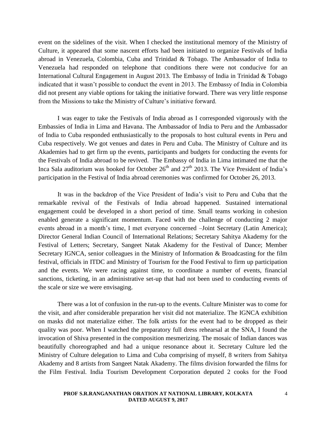event on the sidelines of the visit. When I checked the institutional memory of the Ministry of Culture, it appeared that some nascent efforts had been initiated to organize Festivals of India abroad in Venezuela, Colombia, Cuba and Trinidad & Tobago. The Ambassador of India to Venezuela had responded on telephone that conditions there were not conducive for an International Cultural Engagement in August 2013. The Embassy of India in Trinidad & Tobago indicated that it wasn't possible to conduct the event in 2013. The Embassy of India in Colombia did not present any viable options for taking the initiative forward. There was very little response from the Missions to take the Ministry of Culture's initiative forward.

I was eager to take the Festivals of India abroad as I corresponded vigorously with the Embassies of India in Lima and Havana. The Ambassador of India to Peru and the Ambassador of India to Cuba responded enthusiastically to the proposals to host cultural events in Peru and Cuba respectively. We got venues and dates in Peru and Cuba. The Ministry of Culture and its Akademies had to get firm up the events, participants and budgets for conducting the events for the Festivals of India abroad to be revived. The Embassy of India in Lima intimated me that the Inca Sala auditorium was booked for October  $26<sup>th</sup>$  and  $27<sup>th</sup>$  2013. The Vice President of India's participation in the Festival of India abroad ceremonies was confirmed for October 26, 2013.

It was in the backdrop of the Vice President of India's visit to Peru and Cuba that the remarkable revival of the Festivals of India abroad happened. Sustained international engagement could be developed in a short period of time. Small teams working in cohesion enabled generate a significant momentum. Faced with the challenge of conducting 2 major events abroad in a month's time, I met everyone concerned –Joint Secretary (Latin America); Director General Indian Council of International Relations; Secretary Sahitya Akademy for the Festival of Letters; Secretary, Sangeet Natak Akademy for the Festival of Dance; Member Secretary IGNCA, senior colleagues in the Ministry of Information & Broadcasting for the film festival, officials in ITDC and Ministry of Tourism for the Food Festival to firm up participation and the events. We were racing against time, to coordinate a number of events, financial sanctions, ticketing, in an administrative set-up that had not been used to conducting events of the scale or size we were envisaging.

There was a lot of confusion in the run-up to the events. Culture Minister was to come for the visit, and after considerable preparation her visit did not materialize. The IGNCA exhibition on masks did not materialize either. The folk artists for the event had to be dropped as their quality was poor. When I watched the preparatory full dress rehearsal at the SNA, I found the invocation of Shiva presented in the composition mesmerizing. The mosaic of Indian dances was beautifully choreographed and had a unique resonance about it. Secretary Culture led the Ministry of Culture delegation to Lima and Cuba comprising of myself, 8 writers from Sahitya Akademy and 8 artists from Sangeet Natak Akademy. The films division forwarded the films for the Film Festival. India Tourism Development Corporation deputed 2 cooks for the Food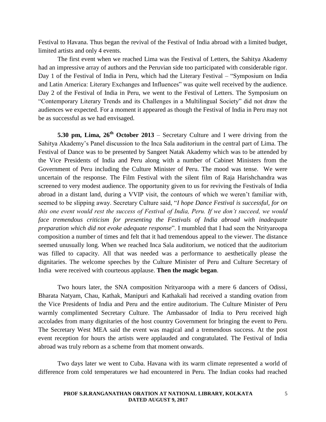Festival to Havana. Thus began the revival of the Festival of India abroad with a limited budget, limited artists and only 4 events.

The first event when we reached Lima was the Festival of Letters, the Sahitya Akademy had an impressive array of authors and the Peruvian side too participated with considerable rigor. Day 1 of the Festival of India in Peru, which had the Literary Festival – "Symposium on India and Latin America: Literary Exchanges and Influences" was quite well received by the audience. Day 2 of the Festival of India in Peru, we went to the Festival of Letters. The Symposium on "Contemporary Literary Trends and its Challenges in a Multilingual Society" did not draw the audiences we expected. For a moment it appeared as though the Festival of India in Peru may not be as successful as we had envisaged.

**5.30 pm, Lima, 26th October 2013** – Secretary Culture and I were driving from the Sahitya Akademy's Panel discussion to the Inca Sala auditorium in the central part of Lima. The Festival of Dance was to be presented by Sangeet Natak Akademy which was to be attended by the Vice Presidents of India and Peru along with a number of Cabinet Ministers from the Government of Peru including the Culture Minister of Peru. The mood was tense. We were uncertain of the response. The Film Festival with the silent film of Raja Harishchandra was screened to very modest audience. The opportunity given to us for reviving the Festivals of India abroad in a distant land, during a VVIP visit, the contours of which we weren't familiar with, seemed to be slipping away. Secretary Culture said, "*I hope Dance Festival is successful, for on this one event would rest the success of Festival of India, Peru. If we don't succeed, we would*  face tremendous criticism for presenting the Festivals of India abroad with inadequate *preparation which did not evoke adequate response*". I mumbled that I had seen the Nrityaroopa composition a number of times and felt that it had tremendous appeal to the viewer. The distance seemed unusually long. When we reached Inca Sala auditorium, we noticed that the auditorium was filled to capacity. All that was needed was a performance to aesthetically please the dignitaries. The welcome speeches by the Culture Minister of Peru and Culture Secretary of India were received with courteous applause. **Then the magic began**.

Two hours later, the SNA composition Nrityaroopa with a mere 6 dancers of Odissi, Bharata Natyam, Chau, Kathak, Manipuri and Kathakali had received a standing ovation from the Vice Presidents of India and Peru and the entire auditorium. The Culture Minister of Peru warmly complimented Secretary Culture. The Ambassador of India to Peru received high accolades from many dignitaries of the host country Government for bringing the event to Peru. The Secretary West MEA said the event was magical and a tremendous success. At the post event reception for hours the artists were applauded and congratulated. The Festival of India abroad was truly reborn as a scheme from that moment onwards.

Two days later we went to Cuba. Havana with its warm climate represented a world of difference from cold temperatures we had encountered in Peru. The Indian cooks had reached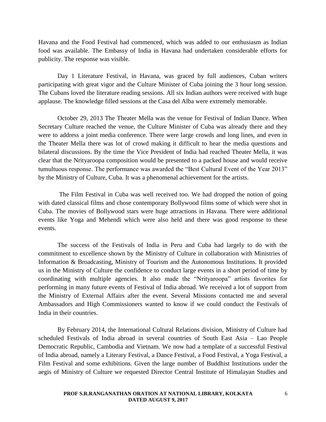Havana and the Food Festival had commenced, which was added to our enthusiasm as Indian food was available. The Embassy of India in Havana had undertaken considerable efforts for publicity. The response was visible.

Day 1 Literature Festival, in Havana, was graced by full audiences, Cuban writers participating with great vigor and the Culture Minister of Cuba joining the 3 hour long session. The Cubans loved the literature reading sessions. All six Indian authors were received with huge applause. The knowledge filled sessions at the Casa del Alba were extremely memorable.

October 29, 2013 The Theater Mella was the venue for Festival of Indian Dance. When Secretary Culture reached the venue, the Culture Minister of Cuba was already there and they were to address a joint media conference. There were large crowds and long lines, and even in the Theater Mella there was lot of crowd making it difficult to hear the media questions and bilateral discussions. By the time the Vice President of India had reached Theater Mella, it was clear that the Nrityaroopa composition would be presented to a packed house and would receive tumultuous response. The performance was awarded the "Best Cultural Event of the Year 2013" by the Ministry of Culture, Cuba. It was a phenomenal achievement for the artists.

The Film Festival in Cuba was well received too. We had dropped the notion of going with dated classical films and chose contemporary Bollywood films some of which were shot in Cuba. The movies of Bollywood stars were huge attractions in Havana. There were additional events like Yoga and Mehendi which were also held and there was good response to these events.

The success of the Festivals of India in Peru and Cuba had largely to do with the commitment to excellence shown by the Ministry of Culture in collaboration with Ministries of Information & Broadcasting, Ministry of Tourism and the Autonomous Institutions. It provided us in the Ministry of Culture the confidence to conduct large events in a short period of time by coordinating with multiple agencies. It also made the "Nrityaroopa" artists favorites for performing in many future events of Festival of India abroad. We received a lot of support from the Ministry of External Affairs after the event. Several Missions contacted me and several Ambassadors and High Commissioners wanted to know if we could conduct the Festivals of India in their countries.

By February 2014, the International Cultural Relations division, Ministry of Culture had scheduled Festivals of India abroad in several countries of South East Asia – Lao People Democratic Republic, Cambodia and Vietnam. We now had a template of a successful Festival of India abroad, namely a Literary Festival, a Dance Festival, a Food Festival, a Yoga Festival, a Film Festival and some exhibitions. Given the large number of Buddhist Institutions under the aegis of Ministry of Culture we requested Director Central Institute of Himalayan Studies and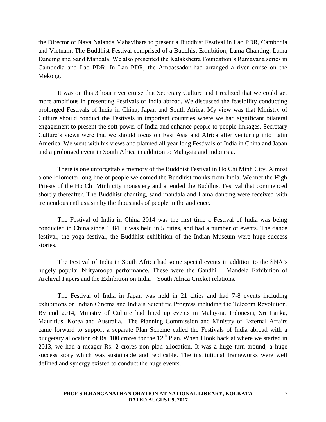the Director of Nava Nalanda Mahavihara to present a Buddhist Festival in Lao PDR, Cambodia and Vietnam. The Buddhist Festival comprised of a Buddhist Exhibition, Lama Chanting, Lama Dancing and Sand Mandala. We also presented the Kalakshetra Foundation's Ramayana series in Cambodia and Lao PDR. In Lao PDR, the Ambassador had arranged a river cruise on the Mekong.

It was on this 3 hour river cruise that Secretary Culture and I realized that we could get more ambitious in presenting Festivals of India abroad. We discussed the feasibility conducting prolonged Festivals of India in China, Japan and South Africa. My view was that Ministry of Culture should conduct the Festivals in important countries where we had significant bilateral engagement to present the soft power of India and enhance people to people linkages. Secretary Culture's views were that we should focus on East Asia and Africa after venturing into Latin America. We went with his views and planned all year long Festivals of India in China and Japan and a prolonged event in South Africa in addition to Malaysia and Indonesia.

There is one unforgettable memory of the Buddhist Festival in Ho Chi Minh City. Almost a one kilometer long line of people welcomed the Buddhist monks from India. We met the High Priests of the Ho Chi Minh city monastery and attended the Buddhist Festival that commenced shortly thereafter. The Buddhist chanting, sand mandala and Lama dancing were received with tremendous enthusiasm by the thousands of people in the audience.

The Festival of India in China 2014 was the first time a Festival of India was being conducted in China since 1984. It was held in 5 cities, and had a number of events. The dance festival, the yoga festival, the Buddhist exhibition of the Indian Museum were huge success stories.

The Festival of India in South Africa had some special events in addition to the SNA's hugely popular Nrityaroopa performance. These were the Gandhi – Mandela Exhibition of Archival Papers and the Exhibition on India – South Africa Cricket relations.

The Festival of India in Japan was held in 21 cities and had 7-8 events including exhibitions on Indian Cinema and India's Scientific Progress including the Telecom Revolution. By end 2014, Ministry of Culture had lined up events in Malaysia, Indonesia, Sri Lanka, Mauritius, Korea and Australia. The Planning Commission and Ministry of External Affairs came forward to support a separate Plan Scheme called the Festivals of India abroad with a budgetary allocation of Rs. 100 crores for the  $12<sup>th</sup>$  Plan. When I look back at where we started in 2013, we had a meager Rs. 2 crores non plan allocation. It was a huge turn around, a huge success story which was sustainable and replicable. The institutional frameworks were well defined and synergy existed to conduct the huge events.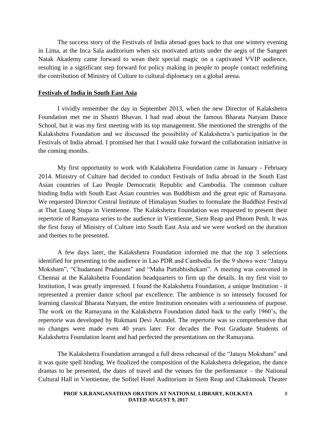The success story of the Festivals of India abroad goes back to that one wintery evening in Lima, at the Inca Sala auditorium when six motivated artists under the aegis of the Sangeet Natak Akademy came forward to wean their special magic on a captivated VVIP audience, resulting in a significant step forward for policy making in people to people contact redefining the contribution of Ministry of Culture to cultural diplomacy on a global arena.

#### **Festivals of India in South East Asia**

I vividly remember the day in September 2013, when the new Director of Kalakshetra Foundation met me in Shastri Bhavan. I had read about the famous Bharata Natyam Dance School, but it was my first meeting with its top management. She mentioned the strengths of the Kalakshetra Foundation and we discussed the possibility of Kalakshetra's participation in the Festivals of India abroad. I promised her that I would take forward the collaboration initiative in the coming months.

My first opportunity to work with Kalakshetra Foundation came in January - February 2014. Ministry of Culture had decided to conduct Festivals of India abroad in the South East Asian countries of Lao People Democratic Republic and Cambodia. The common culture binding India with South East Asian countries was Buddhism and the great epic of Ramayana. We requested Director Central Institute of Himalayan Studies to formulate the Buddhist Festival at That Luang Stupa in Vientienne. The Kalakshetra Foundation was requested to present their repertorie of Ramayana series to the audience in Vientienne, Siem Reap and Phnom Penh. It was the first foray of Ministry of Culture into South East Asia and we were worked on the duration and themes to be presented.

A few days later, the Kalakshetra Foundation informed me that the top 3 selections identified for presenting to the audience in Lao PDR and Cambodia for the 9 shows were "Jatayu Moksham", "Chudamani Pradanam" and "Maha Pattabhishekam". A meeting was convened in Chennai at the Kalakshetra Foundation headquarters to firm up the details. In my first visit to Institution, I was greatly impressed. I found the Kalakshetra Foundation, a unique Institution - it represented a premier dance school par excellence. The ambience is so intensely focused for learning classical Bharata Natyam, the entire Institution resonates with a seriousness of purpose. The work on the Ramayana in the Kalakshetra Foundation dated back to the early 1960's, the repertorie was developed by Rukmani Devi Arundel. The repertorie was so comprehensive that no changes were made even 40 years later. For decades the Post Graduate Students of Kalakshetra Foundation learnt and had perfected the presentations on the Ramayana.

The Kalakshetra Foundation arranged a full dress rehearsal of the "Jatayu Moksham" and it was quite spell binding. We finalized the composition of the Kalakshetra delegation, the dance dramas to be presented, the dates of travel and the venues for the performance – the National Cultural Hall in Vientienne, the Sofitel Hotel Auditorium in Siem Reap and Chaktmouk Theater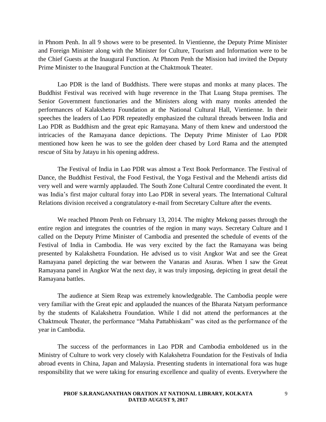in Phnom Penh. In all 9 shows were to be presented. In Vientienne, the Deputy Prime Minister and Foreign Minister along with the Minister for Culture, Tourism and Information were to be the Chief Guests at the Inaugural Function. At Phnom Penh the Mission had invited the Deputy Prime Minister to the Inaugural Function at the Chaktmouk Theater.

Lao PDR is the land of Buddhists. There were stupas and monks at many places. The Buddhist Festival was received with huge reverence in the That Luang Stupa premises. The Senior Government functionaries and the Ministers along with many monks attended the performances of Kalakshetra Foundation at the National Cultural Hall, Vientienne. In their speeches the leaders of Lao PDR repeatedly emphasized the cultural threads between India and Lao PDR as Buddhism and the great epic Ramayana. Many of them knew and understood the intricacies of the Ramayana dance depictions. The Deputy Prime Minister of Lao PDR mentioned how keen he was to see the golden deer chased by Lord Rama and the attempted rescue of Sita by Jatayu in his opening address.

The Festival of India in Lao PDR was almost a Text Book Performance. The Festival of Dance, the Buddhist Festival, the Food Festival, the Yoga Festival and the Mehendi artists did very well and were warmly applauded. The South Zone Cultural Centre coordinated the event. It was India's first major cultural foray into Lao PDR in several years. The International Cultural Relations division received a congratulatory e-mail from Secretary Culture after the events.

We reached Phnom Penh on February 13, 2014. The mighty Mekong passes through the entire region and integrates the countries of the region in many ways. Secretary Culture and I called on the Deputy Prime Minister of Cambodia and presented the schedule of events of the Festival of India in Cambodia. He was very excited by the fact the Ramayana was being presented by Kalakshetra Foundation. He advised us to visit Angkor Wat and see the Great Ramayana panel depicting the war between the Vanaras and Asuras. When I saw the Great Ramayana panel in Angkor Wat the next day, it was truly imposing, depicting in great detail the Ramayana battles.

The audience at Siem Reap was extremely knowledgeable. The Cambodia people were very familiar with the Great epic and applauded the nuances of the Bharata Natyam performance by the students of Kalakshetra Foundation. While I did not attend the performances at the Chaktmouk Theater, the performance "Maha Pattabhiskam" was cited as the performance of the year in Cambodia.

The success of the performances in Lao PDR and Cambodia emboldened us in the Ministry of Culture to work very closely with Kalakshetra Foundation for the Festivals of India abroad events in China, Japan and Malaysia. Presenting students in international fora was huge responsibility that we were taking for ensuring excellence and quality of events. Everywhere the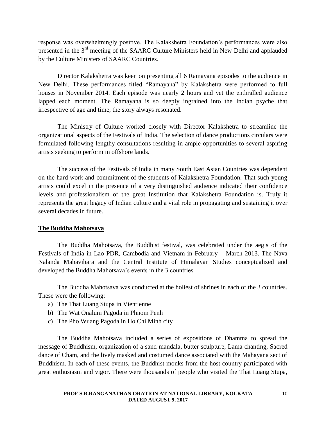response was overwhelmingly positive. The Kalakshetra Foundation's performances were also presented in the 3rd meeting of the SAARC Culture Ministers held in New Delhi and applauded by the Culture Ministers of SAARC Countries.

Director Kalakshetra was keen on presenting all 6 Ramayana episodes to the audience in New Delhi. These performances titled "Ramayana" by Kalakshetra were performed to full houses in November 2014. Each episode was nearly 2 hours and yet the enthralled audience lapped each moment. The Ramayana is so deeply ingrained into the Indian psyche that irrespective of age and time, the story always resonated.

The Ministry of Culture worked closely with Director Kalakshetra to streamline the organizational aspects of the Festivals of India. The selection of dance productions circulars were formulated following lengthy consultations resulting in ample opportunities to several aspiring artists seeking to perform in offshore lands.

The success of the Festivals of India in many South East Asian Countries was dependent on the hard work and commitment of the students of Kalakshetra Foundation. That such young artists could excel in the presence of a very distinguished audience indicated their confidence levels and professionalism of the great Institution that Kalakshetra Foundation is. Truly it represents the great legacy of Indian culture and a vital role in propagating and sustaining it over several decades in future.

#### **The Buddha Mahotsava**

The Buddha Mahotsava, the Buddhist festival, was celebrated under the aegis of the Festivals of India in Lao PDR, Cambodia and Vietnam in February – March 2013. The Nava Nalanda Mahavihara and the Central Institute of Himalayan Studies conceptualized and developed the Buddha Mahotsava's events in the 3 countries.

The Buddha Mahotsava was conducted at the holiest of shrines in each of the 3 countries. These were the following:

- a) The That Luang Stupa in Vientienne
- b) The Wat Onalum Pagoda in Phnom Penh
- c) The Pho Wuang Pagoda in Ho Chi Minh city

The Buddha Mahotsava included a series of expositions of Dhamma to spread the message of Buddhism, organization of a sand mandala, butter sculpture, Lama chanting, Sacred dance of Cham, and the lively masked and costumed dance associated with the Mahayana sect of Buddhism. In each of these events, the Buddhist monks from the host country participated with great enthusiasm and vigor. There were thousands of people who visited the That Luang Stupa,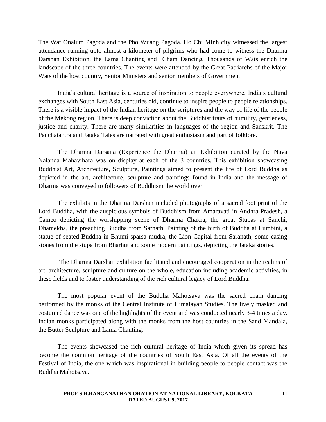The Wat Onalum Pagoda and the Pho Wuang Pagoda. Ho Chi Minh city witnessed the largest attendance running upto almost a kilometer of pilgrims who had come to witness the Dharma Darshan Exhibition, the Lama Chanting and Cham Dancing. Thousands of Wats enrich the landscape of the three countries. The events were attended by the Great Patriarchs of the Major Wats of the host country, Senior Ministers and senior members of Government.

India's cultural heritage is a source of inspiration to people everywhere. India's cultural exchanges with South East Asia, centuries old, continue to inspire people to people relationships. There is a visible impact of the Indian heritage on the scriptures and the way of life of the people of the Mekong region. There is deep conviction about the Buddhist traits of humility, gentleness, justice and charity. There are many similarities in languages of the region and Sanskrit. The Panchatantra and Jataka Tales are narrated with great enthusiasm and part of folklore.

The Dharma Darsana (Experience the Dharma) an Exhibition curated by the Nava Nalanda Mahavihara was on display at each of the 3 countries. This exhibition showcasing Buddhist Art, Architecture, Sculpture, Paintings aimed to present the life of Lord Buddha as depicted in the art, architecture, sculpture and paintings found in India and the message of Dharma was conveyed to followers of Buddhism the world over.

The exhibits in the Dharma Darshan included photographs of a sacred foot print of the Lord Buddha, with the auspicious symbols of Buddhism from Amaravati in Andhra Pradesh, a Cameo depicting the worshipping scene of Dharma Chakra, the great Stupas at Sanchi, Dhamekha, the preaching Buddha from Sarnath, Painting of the birth of Buddha at Lumbini, a statue of seated Buddha in Bhumi sparsa mudra, the Lion Capital from Saranath, some casing stones from the stupa from Bharhut and some modern paintings, depicting the Jataka stories.

The Dharma Darshan exhibition facilitated and encouraged cooperation in the realms of art, architecture, sculpture and culture on the whole, education including academic activities, in these fields and to foster understanding of the rich cultural legacy of Lord Buddha.

The most popular event of the Buddha Mahotsava was the sacred cham dancing performed by the monks of the Central Institute of Himalayan Studies. The lively masked and costumed dance was one of the highlights of the event and was conducted nearly 3-4 times a day. Indian monks participated along with the monks from the host countries in the Sand Mandala, the Butter Sculpture and Lama Chanting.

The events showcased the rich cultural heritage of India which given its spread has become the common heritage of the countries of South East Asia. Of all the events of the Festival of India, the one which was inspirational in building people to people contact was the Buddha Mahotsava.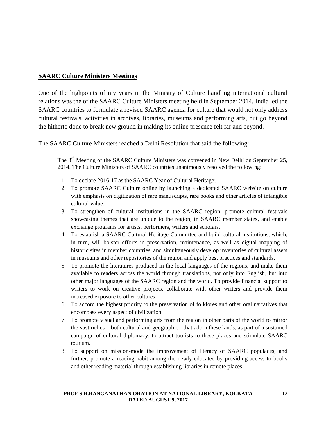#### **SAARC Culture Ministers Meetings**

One of the highpoints of my years in the Ministry of Culture handling international cultural relations was the of the SAARC Culture Ministers meeting held in September 2014. India led the SAARC countries to formulate a revised SAARC agenda for culture that would not only address cultural festivals, activities in archives, libraries, museums and performing arts, but go beyond the hitherto done to break new ground in making its online presence felt far and beyond.

The SAARC Culture Ministers reached a Delhi Resolution that said the following:

The 3<sup>rd</sup> Meeting of the SAARC Culture Ministers was convened in New Delhi on September 25, 2014. The Culture Ministers of SAARC countries unanimously resolved the following:

- 1. To declare 2016-17 as the SAARC Year of Cultural Heritage;
- 2. To promote SAARC Culture online by launching a dedicated SAARC website on culture with emphasis on digitization of rare manuscripts, rare books and other articles of intangible cultural value;
- 3. To strengthen of cultural institutions in the SAARC region, promote cultural festivals showcasing themes that are unique to the region, in SAARC member states, and enable exchange programs for artists, performers, writers and scholars.
- 4. To establish a SAARC Cultural Heritage Committee and build cultural institutions, which, in turn, will bolster efforts in preservation, maintenance, as well as digital mapping of historic sites in member countries, and simultaneously develop inventories of cultural assets in museums and other repositories of the region and apply best practices and standards.
- 5. To promote the literatures produced in the local languages of the regions, and make them available to readers across the world through translations, not only into English, but into other major languages of the SAARC region and the world. To provide financial support to writers to work on creative projects, collaborate with other writers and provide them increased exposure to other cultures.
- 6. To accord the highest priority to the preservation of folklores and other oral narratives that encompass every aspect of civilization.
- 7. To promote visual and performing arts from the region in other parts of the world to mirror the vast riches – both cultural and geographic - that adorn these lands, as part of a sustained campaign of cultural diplomacy, to attract tourists to these places and stimulate SAARC tourism.
- 8. To support on mission-mode the improvement of literacy of SAARC populaces, and further, promote a reading habit among the newly educated by providing access to books and other reading material through establishing libraries in remote places.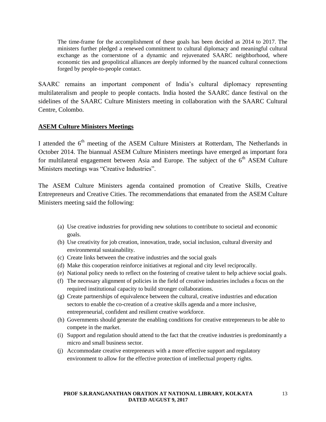The time-frame for the accomplishment of these goals has been decided as 2014 to 2017. The ministers further pledged a renewed commitment to cultural diplomacy and meaningful cultural exchange as the cornerstone of a dynamic and rejuvenated SAARC neighborhood, where economic ties and geopolitical alliances are deeply informed by the nuanced cultural connections forged by people-to-people contact.

SAARC remains an important component of India's cultural diplomacy representing multilateralism and people to people contacts. India hosted the SAARC dance festival on the sidelines of the SAARC Culture Ministers meeting in collaboration with the SAARC Cultural Centre, Colombo.

#### **ASEM Culture Ministers Meetings**

I attended the 6<sup>th</sup> meeting of the ASEM Culture Ministers at Rotterdam, The Netherlands in October 2014. The biannual ASEM Culture Ministers meetings have emerged as important fora for multilateral engagement between Asia and Europe. The subject of the  $6<sup>th</sup>$  ASEM Culture Ministers meetings was "Creative Industries".

The ASEM Culture Ministers agenda contained promotion of Creative Skills, Creative Entrepreneurs and Creative Cities. The recommendations that emanated from the ASEM Culture Ministers meeting said the following:

- (a) Use creative industries for providing new solutions to contribute to societal and economic goals.
- (b) Use creativity for job creation, innovation, trade, social inclusion, cultural diversity and environmental sustainability.
- (c) Create links between the creative industries and the social goals
- (d) Make this cooperation reinforce initiatives at regional and city level reciprocally.
- (e) National policy needs to reflect on the fostering of creative talent to help achieve social goals.
- (f) The necessary alignment of policies in the field of creative industries includes a focus on the required institutional capacity to build stronger collaborations.
- (g) Create partnerships of equivalence between the cultural, creative industries and education sectors to enable the co-creation of a creative skills agenda and a more inclusive, entrepreneurial, confident and resilient creative workforce.
- (h) Governments should generate the enabling conditions for creative entrepreneurs to be able to compete in the market.
- (i) Support and regulation should attend to the fact that the creative industries is predominantly a micro and small business sector.
- (j) Accommodate creative entrepreneurs with a more effective support and regulatory environment to allow for the effective protection of intellectual property rights.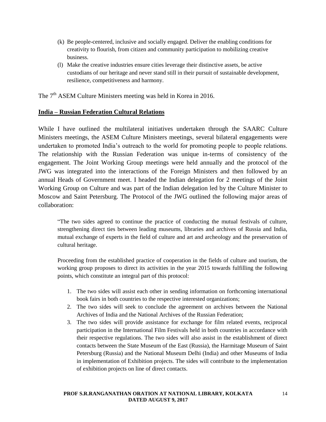- (k) Be people-centered, inclusive and socially engaged. Deliver the enabling conditions for creativity to flourish, from citizen and community participation to mobilizing creative business.
- (l) Make the creative industries ensure cities leverage their distinctive assets, be active custodians of our heritage and never stand still in their pursuit of sustainable development, resilience, competitiveness and harmony.

The  $7<sup>th</sup>$  ASEM Culture Ministers meeting was held in Korea in 2016.

#### **India – Russian Federation Cultural Relations**

While I have outlined the multilateral initiatives undertaken through the SAARC Culture Ministers meetings, the ASEM Culture Ministers meetings, several bilateral engagements were undertaken to promoted India's outreach to the world for promoting people to people relations. The relationship with the Russian Federation was unique in-terms of consistency of the engagement. The Joint Working Group meetings were held annually and the protocol of the JWG was integrated into the interactions of the Foreign Ministers and then followed by an annual Heads of Government meet. I headed the Indian delegation for 2 meetings of the Joint Working Group on Culture and was part of the Indian delegation led by the Culture Minister to Moscow and Saint Petersburg. The Protocol of the JWG outlined the following major areas of collaboration:

"The two sides agreed to continue the practice of conducting the mutual festivals of culture, strengthening direct ties between leading museums, libraries and archives of Russia and India, mutual exchange of experts in the field of culture and art and archeology and the preservation of cultural heritage.

Proceeding from the established practice of cooperation in the fields of culture and tourism, the working group proposes to direct its activities in the year 2015 towards fulfilling the following points, which constitute an integral part of this protocol:

- 1. The two sides will assist each other in sending information on forthcoming international book fairs in both countries to the respective interested organizations;
- 2. The two sides will seek to conclude the agreement on archives between the National Archives of India and the National Archives of the Russian Federation;
- 3. The two sides will provide assistance for exchange for film related events, reciprocal participation in the International Film Festivals held in both countries in accordance with their respective regulations. The two sides will also assist in the establishment of direct contacts between the State Museum of the East (Russia), the Harmitage Museum of Saint Petersburg (Russia) and the National Museum Delhi (India) and other Museums of India in implementation of Exhibition projects. The sides will contribute to the implementation of exhibition projects on line of direct contacts.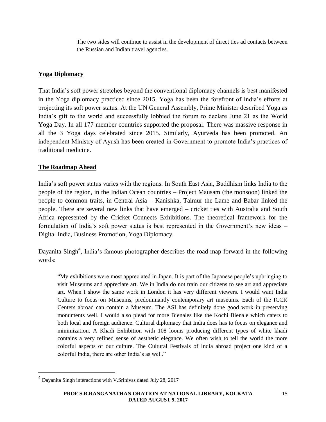The two sides will continue to assist in the development of direct ties ad contacts between the Russian and Indian travel agencies.

#### **Yoga Diplomacy**

That India's soft power stretches beyond the conventional diplomacy channels is best manifested in the Yoga diplomacy practiced since 2015. Yoga has been the forefront of India's efforts at projecting its soft power status. At the UN General Assembly, Prime Minister described Yoga as India's gift to the world and successfully lobbied the forum to declare June 21 as the World Yoga Day. In all 177 member countries supported the proposal. There was massive response in all the 3 Yoga days celebrated since 2015. Similarly, Ayurveda has been promoted. An independent Ministry of Ayush has been created in Government to promote India's practices of traditional medicine.

#### **The Roadmap Ahead**

 $\overline{a}$ 

India's soft power status varies with the regions. In South East Asia, Buddhism links India to the people of the region, in the Indian Ocean countries – Project Mausam (the monsoon) linked the people to common traits, in Central Asia – Kanishka, Taimur the Lame and Babar linked the people. There are several new links that have emerged – cricket ties with Australia and South Africa represented by the Cricket Connects Exhibitions. The theoretical framework for the formulation of India's soft power status is best represented in the Government's new ideas – Digital India, Business Promotion, Yoga Diplomacy.

Dayanita Singh<sup>4</sup>, India's famous photographer describes the road map forward in the following words:

"My exhibitions were most appreciated in Japan. It is part of the Japanese people's upbringing to visit Museums and appreciate art. We in India do not train our citizens to see art and appreciate art. When I show the same work in London it has very different viewers. I would want India Culture to focus on Museums, predominantly contemporary art museums. Each of the ICCR Centers abroad can contain a Museum. The ASI has definitely done good work in preserving monuments well. I would also plead for more Bienales like the Kochi Bienale which caters to both local and foreign audience. Cultural diplomacy that India does has to focus on elegance and minimization. A Khadi Exhibition with 108 looms producing different types of white khadi contains a very refined sense of aesthetic elegance. We often wish to tell the world the more colorful aspects of our culture. The Cultural Festivals of India abroad project one kind of a colorful India, there are other India's as well."

<sup>&</sup>lt;sup>4</sup> Dayanita Singh interactions with V.Srinivas dated July 28, 2017